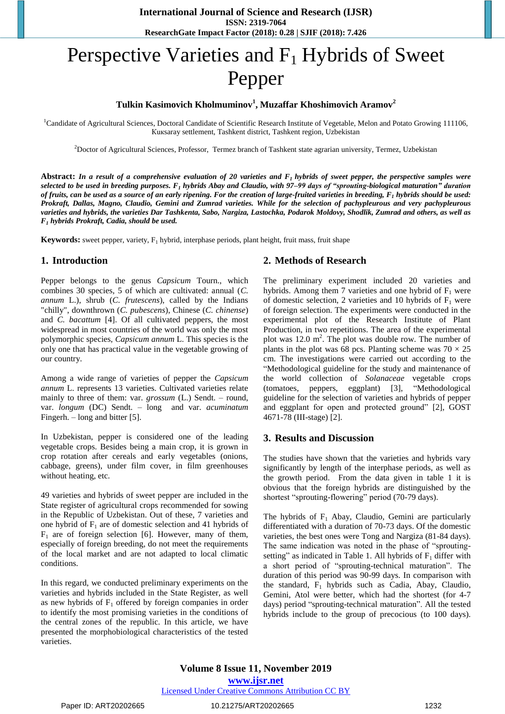# Perspective Varieties and  $F_1$  Hybrids of Sweet Pepper

## **Tulkin Kasimovich Kholmuminov<sup>1</sup> , Muzaffar Khoshimovich Aramov<sup>2</sup>**

<sup>1</sup>Candidate of Agricultural Sciences, Doctoral Candidate of Scientific Research Institute of Vegetable, Melon and Potato Growing 111106, Кuкsaray settlement, Tashkent district, Tashkent region, Uzbekistan

<sup>2</sup>Doctor of Agricultural Sciences, Professor, Termez branch of Tashkent state agrarian university, Termez, Uzbekistan

**Abstract:** *In a result of a comprehensive evaluation of 20 varieties and F1 hybrids of sweet pepper, the perspective samples were selected to be used in breeding purposes. F<sup>1</sup> hybrids Abay and Claudio, with 97–99 days of "sprouting-biological maturation" duration of fruits, can be used as a source of an early ripening. For the creation of large-fruited varieties in breeding, F<sup>1</sup> hybrids should be used: Prokraft, Dallas, Magno, Claudio, Gemini and Zumrad varieties. While for the selection of pachypleurous and very pachypleurous varieties and hybrids, the varieties Dar Tashkenta, Sabo, Nargiza, Lastochka, Podarok Moldovy, Shodlik, Zumrad and others, as well as F<sup>1</sup> hybrids Prokraft, Cadia, should be used.*

**Keywords:** sweet pepper, variety,  $F_1$  hybrid, interphase periods, plant height, fruit mass, fruit shape

## **1. Introduction**

Pepper belongs to the genus *Capsicum* Tourn., which combines 30 species, 5 of which are cultivated: annual (*C. annum* L.), shrub (*C. frutescens*), called by the Indians "chilly", downthrown (*C. pubescens*), Chinese (*C. chinense*) and *C. bacattum* [4]. Of all cultivated peppers, the most widespread in most countries of the world was only the most polymorphic species, *Capsicum annum* L. This species is the only one that has practical value in the vegetable growing of our country.

Among a wide range of varieties of pepper the *Capsicum annum* L. represents 13 varieties. Cultivated varieties relate mainly to three of them: var. *grossum* (L.) Sendt. – round, var. *longum* (DC) Sendt. – long and var. *acuminatum* Fingerh. – long and bitter [5].

In Uzbekistan, pepper is considered one of the leading vegetable crops. Besides being a main crop, it is grown in crop rotation after cereals and early vegetables (onions, cabbage, greens), under film cover, in film greenhouses without heating, etc.

49 varieties and hybrids of sweet pepper are included in the State register of agricultural crops recommended for sowing in the Republic of Uzbekistan. Out of these, 7 varieties and one hybrid of  $F_1$  are of domestic selection and 41 hybrids of  $F_1$  are of foreign selection [6]. However, many of them, especially of foreign breeding, do not meet the requirements of the local market and are not adapted to local climatic conditions.

In this regard, we conducted preliminary experiments on the varieties and hybrids included in the State Register, as well as new hybrids of  $F_1$  offered by foreign companies in order to identify the most promising varieties in the conditions of the central zones of the republic. In this article, we have presented the morphobiological characteristics of the tested varieties.

## **2. Methods of Research**

The preliminary experiment included 20 varieties and hybrids. Among them 7 varieties and one hybrid of  $F_1$  were of domestic selection, 2 varieties and 10 hybrids of  $F_1$  were of foreign selection. The experiments were conducted in the experimental plot of the Research Institute of Plant Production, in two repetitions. The area of the experimental plot was  $12.0 \text{ m}^2$ . The plot was double row. The number of plants in the plot was 68 pcs. Planting scheme was  $70 \times 25$ cm. The investigations were carried out according to the "Methodological guideline for the study and maintenance of the world collection of *Solanaceae* vegetable crops (tomatoes, peppers, eggplant) [3], "Methodological guideline for the selection of varieties and hybrids of pepper and eggplant for open and protected ground" [2], GOST 4671-78 (III-stage) [2].

## **3. Results and Discussion**

The studies have shown that the varieties and hybrids vary significantly by length of the interphase periods, as well as the growth period. From the data given in table 1 it is obvious that the foreign hybrids are distinguished by the shortest "sprouting-flowering" period (70-79 days).

The hybrids of  $F_1$  Abay, Claudio, Gemini are particularly differentiated with a duration of 70-73 days. Of the domestic varieties, the best ones were Tong and Nargiza (81-84 days). The same indication was noted in the phase of "sproutingsetting" as indicated in Table 1. All hybrids of  $F_1$  differ with a short period of "sprouting-technical maturation". The duration of this period was 90-99 days. In comparison with the standard,  $F_1$  hybrids such as Cadia, Abay, Claudio, Gemini, Atol were better, which had the shortest (for 4-7 days) period "sprouting-technical maturation". All the tested hybrids include to the group of precocious (to 100 days).

**Volume 8 Issue 11, November 2019 www.ijsr.net** Licensed Under Creative Commons Attribution CC BY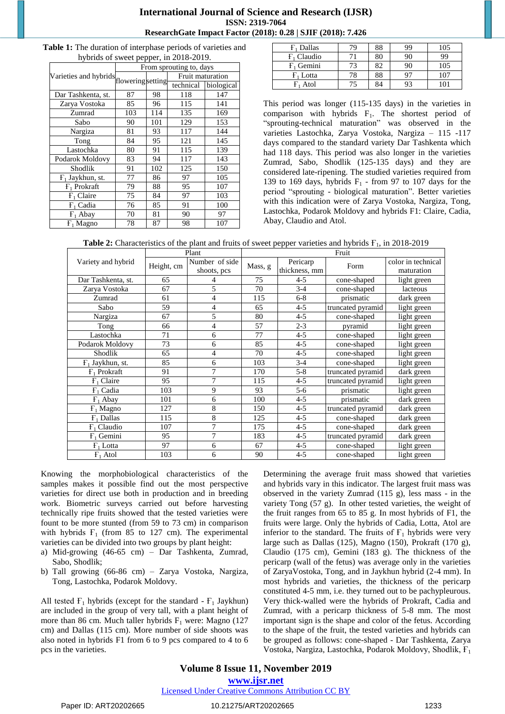#### **International Journal of Science and Research (IJSR) ISSN: 2319-7064 ResearchGate Impact Factor (2018): 0.28 | SJIF (2018): 7.426**

| <b>Table 1:</b> The duration of interphase periods of varieties and |
|---------------------------------------------------------------------|
| hybrids of sweet pepper, in 2018-2019.                              |

|                                         | $n$ of $n$ or $p$ or $p$ , $m$ 2010 2017.<br>From sprouting to, days |     |                  |            |  |
|-----------------------------------------|----------------------------------------------------------------------|-----|------------------|------------|--|
| Varieties and hybrids flowering setting |                                                                      |     | Fruit maturation |            |  |
|                                         |                                                                      |     | technical        | biological |  |
| Dar Tashkenta, st.                      | 87                                                                   | 98  | 118              | 147        |  |
| Zarya Vostoka                           | 85                                                                   | 96  | 115              | 141        |  |
| Zumrad                                  | 103                                                                  | 114 | 135              | 169        |  |
| Sabo                                    | 90                                                                   | 101 | 129              | 153        |  |
| Nargiza                                 | 81                                                                   | 93  | 117              | 144        |  |
| Tong                                    | 84                                                                   | 95  | 121              | 145        |  |
| Lastochka                               | 80                                                                   | 91  | 115              | 139        |  |
| Podarok Moldovy                         | 83                                                                   | 94  | 117              | 143        |  |
| Shodlik                                 | 91                                                                   | 102 | 125              | 150        |  |
| $F_1$ Jaykhun, st.                      | 77                                                                   | 86  | 97               | 105        |  |
| $F_1$ Prokraft                          | 79                                                                   | 88  | 95               | 107        |  |
| $F_1$ Claire                            | 75                                                                   | 84  | 97               | 103        |  |
| $F_1$ Cadia                             | 76                                                                   | 85  | 91               | 100        |  |
| $F_1$ Abay                              | 70                                                                   | 81  | 90               | 97         |  |
| $F_1$ Magno                             | 78                                                                   | 87  | 98               | 107        |  |

| $F_1$ Dallas          | 79 | 88 | 99 | 105 |
|-----------------------|----|----|----|-----|
| $F_1$ Claudio         | 71 | 80 | 90 | 99  |
| F <sub>1</sub> Gemini | 73 | 82 | 90 | 105 |
| $F_1$ Lotta           | 78 | 88 | 97 | 107 |
| $F_1$ Atol            |    | 84 | 93 |     |

This period was longer (115-135 days) in the varieties in comparison with hybrids  $F_1$ . The shortest period of "sprouting-technical maturation" was observed in the varieties Lastochka, Zarya Vostoka, Nargiza – 115 -117 days compared to the standard variety Dar Tashkenta which had 118 days. This period was also longer in the varieties Zumrad, Sabo, Shodlik (125-135 days) and they are considered late-ripening. The studied varieties required from 139 to 169 days, hybrids  $F_1$  - from 97 to 107 days for the period "sprouting - biological maturation". Better varieties with this indication were of Zarya Vostoka, Nargiza, Tong, Lastochka, Podarok Moldovy and hybrids F1: Claire, Cadia, Abay, Claudio and Atol.

|                    | Plant      |                | Fruit   |               |                   |                    |  |
|--------------------|------------|----------------|---------|---------------|-------------------|--------------------|--|
| Variety and hybrid | Height, cm | Number of side | Mass, g | Pericarp      | Form              | color in technical |  |
|                    |            | shoots, pcs    |         | thickness, mm |                   | maturation         |  |
| Dar Tashkenta, st. | 65         | 4              | 75      | $4 - 5$       | cone-shaped       | light green        |  |
| Zarya Vostoka      | 67         | 5              | 70      | $3-4$         | cone-shaped       | lacteous           |  |
| Zumrad             | 61         | 4              | 115     | $6 - 8$       | prismatic         | dark green         |  |
| Sabo               | 59         | 4              | 65      | $4 - 5$       | truncated pyramid | light green        |  |
| Nargiza            | 67         | 5              | 80      | $4 - 5$       | cone-shaped       | light green        |  |
| Tong               | 66         | $\overline{4}$ | 57      | $2 - 3$       | pyramid           | light green        |  |
| Lastochka          | 71         | 6              | 77      | $4 - 5$       | cone-shaped       | light green        |  |
| Podarok Moldovy    | 73         | 6              | 85      | $4 - 5$       | cone-shaped       | light green        |  |
| Shodlik            | 65         | $\overline{4}$ | 70      | $4 - 5$       | cone-shaped       | light green        |  |
| $F_1$ Jaykhun, st. | 85         | 6              | 103     | $3-4$         | cone-shaped       | light green        |  |
| $F_1$ Prokraft     | 91         | 7              | 170     | $5 - 8$       | truncated pyramid | dark green         |  |
| $F_1$ Claire       | 95         | 7              | 115     | $4 - 5$       | truncated pyramid | light green        |  |
| $F_1$ Cadia        | 103        | 9              | 93      | $5-6$         | prismatic         | light green        |  |
| $F_1$ Abay         | 101        | 6              | 100     | $4 - 5$       | prismatic         | dark green         |  |
| $F_1$ Magno        | 127        | 8              | 150     | $4 - 5$       | truncated pyramid | dark green         |  |
| $F_1$ Dallas       | 115        | 8              | 125     | $4 - 5$       | cone-shaped       | dark green         |  |
| $F_1$ Claudio      | 107        | 7              | 175     | $4 - 5$       | cone-shaped       | dark green         |  |
| $F_1$ Gemini       | 95         | 7              | 183     | $4 - 5$       | truncated pyramid | dark green         |  |
| $F_1$ Lotta        | 97         | 6              | 67      | $4 - 5$       | cone-shaped       | light green        |  |
| $F_1$ Atol         | 103        | 6              | 90      | $4 - 5$       | cone-shaped       | light green        |  |

Knowing the morphobiological characteristics of the samples makes it possible find out the most perspective varieties for direct use both in production and in breeding work. Biometric surveys carried out before harvesting technically ripe fruits showed that the tested varieties were fount to be more stunted (from 59 to 73 cm) in comparison with hybrids  $F_1$  (from 85 to 127 cm). The experimental varieties can be divided into two groups by plant height:

- a) Mid-growing (46-65 cm) Dar Tashkenta, Zumrad, Sabo, Shodlik;
- b) Tall growing (66-86 cm) Zarya Vostoka, Nargiza, Tong, Lastochka, Podarok Moldovy.

All tested  $F_1$  hybrids (except for the standard -  $F_1$  Jaykhun) are included in the group of very tall, with a plant height of more than 86 cm. Much taller hybrids  $F_1$  were: Magno (127 cm) and Dallas (115 cm). More number of side shoots was also noted in hybrids F1 from 6 to 9 pcs compared to 4 to 6 pcs in the varieties.

Determining the average fruit mass showed that varieties and hybrids vary in this indicator. The largest fruit mass was observed in the variety Zumrad (115 g), less mass - in the variety Tong (57 g). In other tested varieties, the weight of the fruit ranges from 65 to 85 g. In most hybrids of F1, the fruits were large. Only the hybrids of Cadia, Lotta, Atol are inferior to the standard. The fruits of  $F_1$  hybrids were very large such as Dallas (125), Magno (150), Prokraft (170 g), Claudio (175 cm), Gemini (183 g). The thickness of the pericarp (wall of the fetus) was average only in the varieties of ZaryaVostoka, Tong, and in Jaykhun hybrid (2-4 mm). In most hybrids and varieties, the thickness of the pericarp constituted 4-5 mm, i.e. they turned out to be pachypleurous. Very thick-walled were the hybrids of Prokraft, Cadia and Zumrad, with a pericarp thickness of 5-8 mm. The most important sign is the shape and color of the fetus. According to the shape of the fruit, the tested varieties and hybrids can be grouped as follows: cone-shaped - Dar Tashkenta, Zarya Vostoka, Nargiza, Lastochka, Podarok Moldovy, Shodlik, Ғ<sup>1</sup>

## **Volume 8 Issue 11, November 2019 www.ijsr.net**

Licensed Under Creative Commons Attribution CC BY